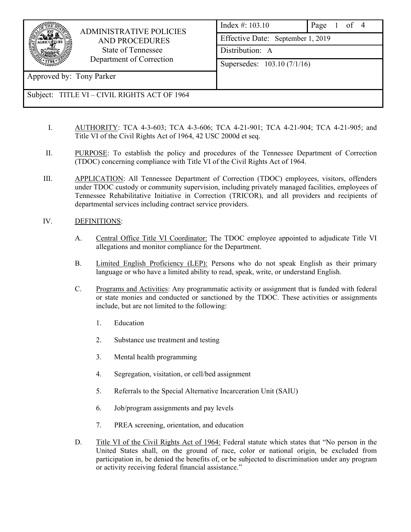

 ADMINISTRATIVE POLICIES AND PROCEDURES State of Tennessee Department of Correction

Approved by: Tony Parker

## Subject: TITLE VI – CIVIL RIGHTS ACT OF 1964

- I. AUTHORITY: TCA 4-3-603; TCA 4-3-606; TCA 4-21-901; TCA 4-21-904; TCA 4-21-905; and Title VI of the Civil Rights Act of 1964, 42 USC 2000d et seq.
- II. PURPOSE: To establish the policy and procedures of the Tennessee Department of Correction (TDOC) concerning compliance with Title VI of the Civil Rights Act of 1964.
- III. APPLICATION: All Tennessee Department of Correction (TDOC) employees, visitors, offenders under TDOC custody or community supervision, including privately managed facilities, employees of Tennessee Rehabilitative Initiative in Correction (TRICOR), and all providers and recipients of departmental services including contract service providers.

## IV. DEFINITIONS:

- A. Central Office Title VI Coordinator: The TDOC employee appointed to adjudicate Title VI allegations and monitor compliance for the Department.
- B. Limited English Proficiency (LEP): Persons who do not speak English as their primary language or who have a limited ability to read, speak, write, or understand English.
- C. Programs and Activities: Any programmatic activity or assignment that is funded with federal or state monies and conducted or sanctioned by the TDOC. These activities or assignments include, but are not limited to the following:
	- 1. Education
	- 2. Substance use treatment and testing
	- 3. Mental health programming
	- 4. Segregation, visitation, or cell/bed assignment
	- 5. Referrals to the Special Alternative Incarceration Unit (SAIU)
	- 6. Job/program assignments and pay levels
	- 7. PREA screening, orientation, and education
- D. Title VI of the Civil Rights Act of 1964: Federal statute which states that "No person in the United States shall, on the ground of race, color or national origin, be excluded from participation in, be denied the benefits of, or be subjected to discrimination under any program or activity receiving federal financial assistance."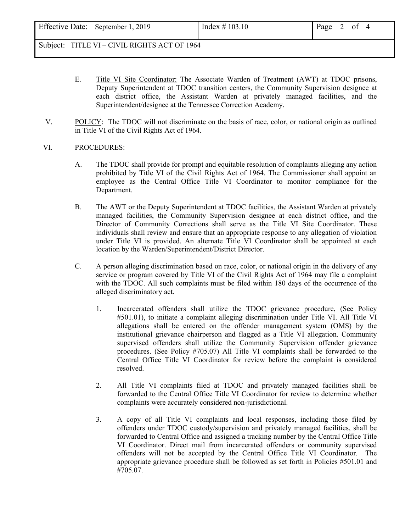Subject: TITLE VI – CIVIL RIGHTS ACT OF 1964

- E. Title VI Site Coordinator: The Associate Warden of Treatment (AWT) at TDOC prisons, Deputy Superintendent at TDOC transition centers, the Community Supervision designee at each district office, the Assistant Warden at privately managed facilities, and the Superintendent/designee at the Tennessee Correction Academy.
- V. POLICY: The TDOC will not discriminate on the basis of race, color, or national origin as outlined in Title VI of the Civil Rights Act of 1964.

## VI. PROCEDURES:

- A. The TDOC shall provide for prompt and equitable resolution of complaints alleging any action prohibited by Title VI of the Civil Rights Act of 1964. The Commissioner shall appoint an employee as the Central Office Title VI Coordinator to monitor compliance for the Department.
- B. The AWT or the Deputy Superintendent at TDOC facilities, the Assistant Warden at privately managed facilities, the Community Supervision designee at each district office, and the Director of Community Corrections shall serve as the Title VI Site Coordinator. These individuals shall review and ensure that an appropriate response to any allegation of violation under Title VI is provided. An alternate Title VI Coordinator shall be appointed at each location by the Warden/Superintendent/District Director.
- C. A person alleging discrimination based on race, color, or national origin in the delivery of any service or program covered by Title VI of the Civil Rights Act of 1964 may file a complaint with the TDOC. All such complaints must be filed within 180 days of the occurrence of the alleged discriminatory act.
	- 1. Incarcerated offenders shall utilize the TDOC grievance procedure, (See Policy #501.01), to initiate a complaint alleging discrimination under Title VI. All Title VI allegations shall be entered on the offender management system (OMS) by the institutional grievance chairperson and flagged as a Title VI allegation. Community supervised offenders shall utilize the Community Supervision offender grievance procedures. (See Policy #705.07) All Title VI complaints shall be forwarded to the Central Office Title VI Coordinator for review before the complaint is considered resolved.
	- 2. All Title VI complaints filed at TDOC and privately managed facilities shall be forwarded to the Central Office Title VI Coordinator for review to determine whether complaints were accurately considered non-jurisdictional.
	- 3. A copy of all Title VI complaints and local responses, including those filed by offenders under TDOC custody/supervision and privately managed facilities, shall be forwarded to Central Office and assigned a tracking number by the Central Office Title VI Coordinator. Direct mail from incarcerated offenders or community supervised offenders will not be accepted by the Central Office Title VI Coordinator. The appropriate grievance procedure shall be followed as set forth in Policies #501.01 and #705.07.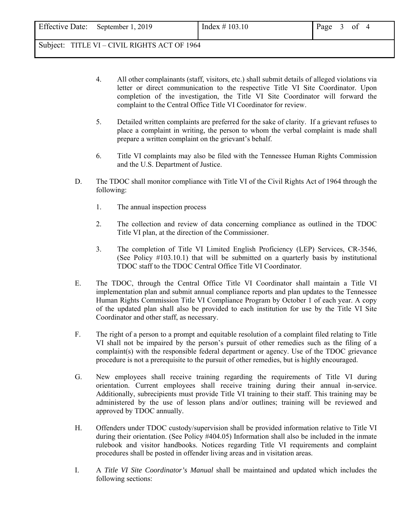Subject: TITLE VI – CIVIL RIGHTS ACT OF 1964

- 4. All other complainants (staff, visitors, etc.) shall submit details of alleged violations via letter or direct communication to the respective Title VI Site Coordinator. Upon completion of the investigation, the Title VI Site Coordinator will forward the complaint to the Central Office Title VI Coordinator for review.
- 5. Detailed written complaints are preferred for the sake of clarity. If a grievant refuses to place a complaint in writing, the person to whom the verbal complaint is made shall prepare a written complaint on the grievant's behalf.
- 6. Title VI complaints may also be filed with the Tennessee Human Rights Commission and the U.S. Department of Justice.
- D. The TDOC shall monitor compliance with Title VI of the Civil Rights Act of 1964 through the following:
	- 1. The annual inspection process
	- 2. The collection and review of data concerning compliance as outlined in the TDOC Title VI plan, at the direction of the Commissioner.
	- 3. The completion of Title VI Limited English Proficiency (LEP) Services, CR-3546, (See Policy #103.10.1) that will be submitted on a quarterly basis by institutional TDOC staff to the TDOC Central Office Title VI Coordinator.
- E. The TDOC, through the Central Office Title VI Coordinator shall maintain a Title VI implementation plan and submit annual compliance reports and plan updates to the Tennessee Human Rights Commission Title VI Compliance Program by October 1 of each year. A copy of the updated plan shall also be provided to each institution for use by the Title VI Site Coordinator and other staff, as necessary.
- F. The right of a person to a prompt and equitable resolution of a complaint filed relating to Title VI shall not be impaired by the person's pursuit of other remedies such as the filing of a complaint(s) with the responsible federal department or agency. Use of the TDOC grievance procedure is not a prerequisite to the pursuit of other remedies, but is highly encouraged.
- G. New employees shall receive training regarding the requirements of Title VI during orientation. Current employees shall receive training during their annual in-service. Additionally, subrecipients must provide Title VI training to their staff. This training may be administered by the use of lesson plans and/or outlines; training will be reviewed and approved by TDOC annually.
- H. Offenders under TDOC custody/supervision shall be provided information relative to Title VI during their orientation. (See Policy #404.05) Information shall also be included in the inmate rulebook and visitor handbooks. Notices regarding Title VI requirements and complaint procedures shall be posted in offender living areas and in visitation areas.
- I. A *Title VI Site Coordinator's Manual* shall be maintained and updated which includes the following sections: